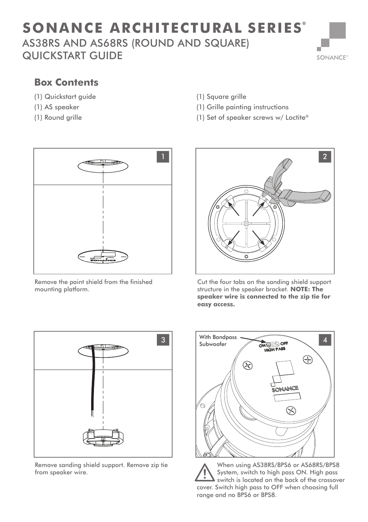## AS38RS AND AS68RS (ROUND AND SQUARE) QUICKSTART GUIDE **SONANCE ARCHITECTURAL SERIES ®**



## **Box Contents**

- (1) Quickstart guide
- (1) AS speaker
- (1) Round grille
- (1) Square grille
- (1) Grille painting instructions
- (1) Set of speaker screws w/ Loctite®



Remove the paint shield from the finished mounting platform.



Cut the four tabs on the sanding shield support structure in the speaker bracket. **NOTE: The speaker wire is connected to the zip tie for easy access.**



Remove sanding shield support. Remove zip tie from speaker wire.



When using AS38RS/BPS6 or AS68RS/BPS8 System, switch to high pass ON. High pass switch is located on the back of the crossover cover. Switch high pass to OFF when choosing full range and no BPS6 or BPS8.